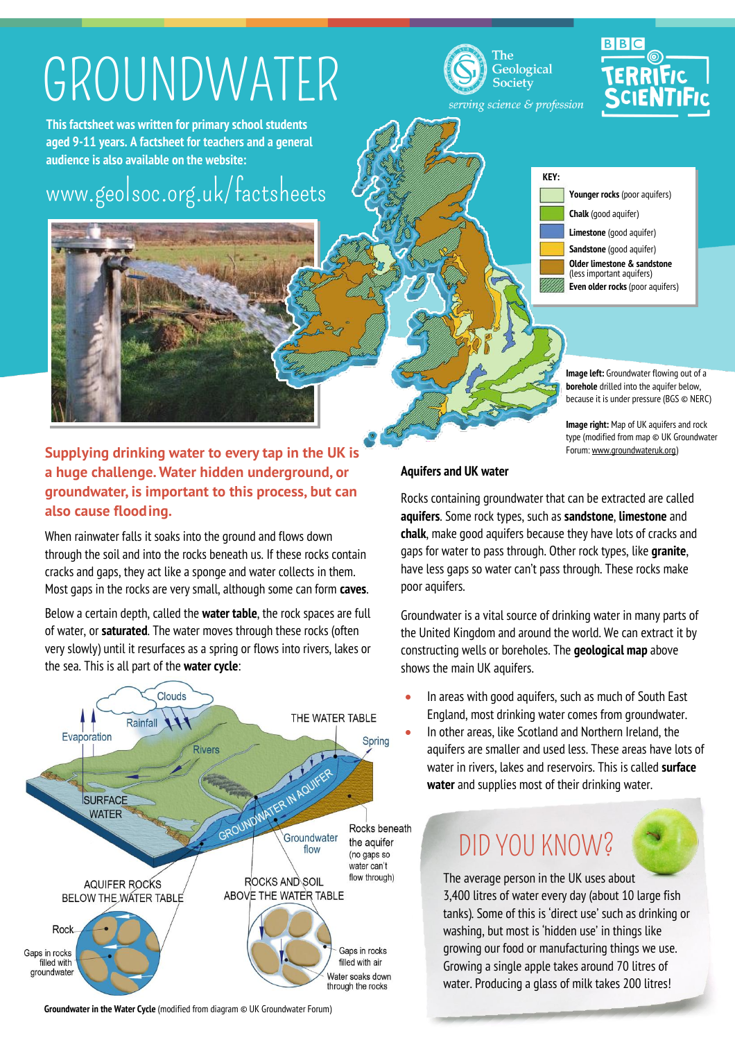# GROUNDWATER

**This factsheet was written for primary school students aged 9-11 years. A factsheet for teachers and a general audience is also available on the website:**

## [www.geolsoc.org.uk/factsheets](http://www.geolsoc.org.uk/factsheets)







serving science & profession

**KEY:**

**Younger rocks** (poor aquifers) **Chalk** (good aquifer) **Limestone** (good aquifer) **Sandstone** (good aquifer) **Older limestone & sandstone** (less important aquifers) **Even older rocks** (poor aquifers)

**Image left:** Groundwater flowing out of a **borehole** drilled into the aquifer below, because it is under pressure (BGS © NERC)

**Image right:** Map of UK aquifers and rock type (modified from map © UK Groundwater Forum[: www.groundwateruk.org\)](http://www.groundwateruk.org/)

### **Supplying drinking water to every tap in the UK is a huge challenge. Water hidden underground, or groundwater, is important to this process, but can also cause flooding.**

When rainwater falls it soaks into the ground and flows down through the soil and into the rocks beneath us. If these rocks contain cracks and gaps, they act like a sponge and water collects in them. Most gaps in the rocks are very small, although some can form **caves**.

Below a certain depth, called the **water table**, the rock spaces are full of water, or **saturated**. The water moves through these rocks (often very slowly) until it resurfaces as a spring or flows into rivers, lakes or the sea. This is all part of the **water cycle**:



### **Aquifers and UK water**

Rocks containing groundwater that can be extracted are called **aquifers**. Some rock types, such as **sandstone**, **limestone** and **chalk**, make good aquifers because they have lots of cracks and gaps for water to pass through. Other rock types, like **granite**, have less gaps so water can't pass through. These rocks make poor aquifers.

Groundwater is a vital source of drinking water in many parts of the United Kingdom and around the world. We can extract it by constructing wells or boreholes. The **geological map** above shows the main UK aquifers.

- In areas with good aquifers, such as much of South East England, most drinking water comes from groundwater.
- In other areas, like Scotland and Northern Ireland, the aquifers are smaller and used less. These areas have lots of water in rivers, lakes and reservoirs. This is called **surface water** and supplies most of their drinking water.

### DID YOU KNOW?

The average person in the UK uses about 3,400 litres of water every day (about 10 large fish tanks). Some of this is 'direct use' such as drinking or washing, but most is 'hidden use' in things like growing our food or manufacturing things we use. Growing a single apple takes around 70 litres of water. Producing a glass of milk takes 200 litres!

**Groundwater in the Water Cycle** (modified from diagram © UK Groundwater Forum)